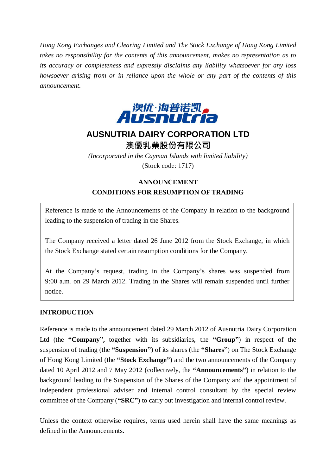*Hong Kong Exchanges and Clearing Limited and The Stock Exchange of Hong Kong Limited takes no responsibility for the contents of this announcement, makes no representation as to its accuracy or completeness and expressly disclaims any liability whatsoever for any loss howsoever arising from or in reliance upon the whole or any part of the contents of this announcement.*



# **AUSNUTRIA DAIRY CORPORATION LTD** 澳優乳業股份有限公司

*(Incorporated in the Cayman Islands with limited liability)* (Stock code: 1717)

#### **ANNOUNCEMENT**

## **CONDITIONS FOR RESUMPTION OF TRADING**

Reference is made to the Announcements of the Company in relation to the background leading to the suspension of trading in the Shares.

The Company received a letter dated 26 June 2012 from the Stock Exchange, in which the Stock Exchange stated certain resumption conditions for the Company.

At the Company's request, trading in the Company's shares was suspended from 9:00 a.m. on 29 March 2012. Trading in the Shares will remain suspended until further notice.

#### **INTRODUCTION**

Reference is made to the announcement dated 29 March 2012 of Ausnutria Dairy Corporation Ltd (the **"Company",** together with its subsidiaries, the **"Group"**) in respect of the suspension of trading (the **"Suspension"**) of its shares (the **"Shares"**) on The Stock Exchange of Hong Kong Limited (the **"Stock Exchange"**) and the two announcements of the Company dated 10 April 2012 and 7 May 2012 (collectively, the **"Announcements"**) in relation to the background leading to the Suspension of the Shares of the Company and the appointment of independent professional adviser and internal control consultant by the special review committee of the Company (**"SRC"**) to carry out investigation and internal control review.

Unless the context otherwise requires, terms used herein shall have the same meanings as defined in the Announcements.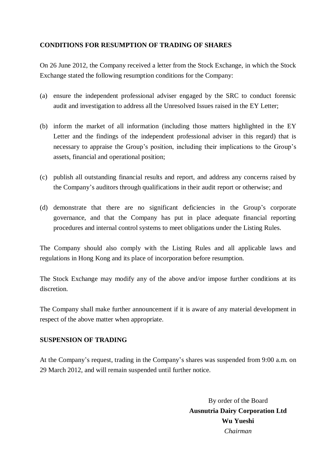### **CONDITIONS FOR RESUMPTION OF TRADING OF SHARES**

On 26 June 2012, the Company received a letter from the Stock Exchange, in which the Stock Exchange stated the following resumption conditions for the Company:

- (a) ensure the independent professional adviser engaged by the SRC to conduct forensic audit and investigation to address all the Unresolved Issues raised in the EY Letter;
- (b) inform the market of all information (including those matters highlighted in the EY Letter and the findings of the independent professional adviser in this regard) that is necessary to appraise the Group's position, including their implications to the Group's assets, financial and operational position;
- (c) publish all outstanding financial results and report, and address any concerns raised by the Company's auditors through qualifications in their audit report or otherwise; and
- (d) demonstrate that there are no significant deficiencies in the Group's corporate governance, and that the Company has put in place adequate financial reporting procedures and internal control systems to meet obligations under the Listing Rules.

The Company should also comply with the Listing Rules and all applicable laws and regulations in Hong Kong and its place of incorporation before resumption.

The Stock Exchange may modify any of the above and/or impose further conditions at its discretion.

The Company shall make further announcement if it is aware of any material development in respect of the above matter when appropriate.

#### **SUSPENSION OF TRADING**

At the Company's request, trading in the Company's shares was suspended from 9:00 a.m. on 29 March 2012, and will remain suspended until further notice.

> By order of the Board **Ausnutria Dairy Corporation Ltd Wu Yueshi** *Chairman*